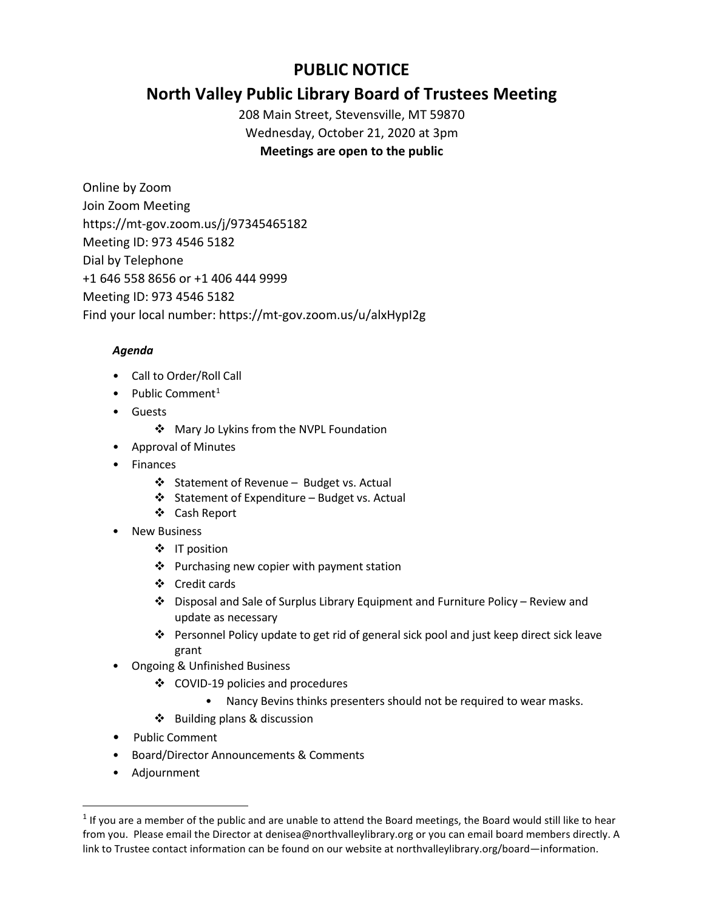# **PUBLIC NOTICE**

# **North Valley Public Library Board of Trustees Meeting**

208 Main Street, Stevensville, MT 59870 Wednesday, October 21, 2020 at 3pm **Meetings are open to the public** 

Online by Zoom Join Zoom Meeting https://mt-gov.zoom.us/j/97345465182 Meeting ID: 973 4546 5182 Dial by Telephone +1 646 558 8656 or +1 406 444 9999 Meeting ID: 973 4546 5182 Find your local number: https://mt-gov.zoom.us/u/alxHypI2g

## *Agenda*

- Call to Order/Roll Call
- Public Comment<sup>[1](#page-0-0)</sup>
- Guests
	- ❖ Mary Jo Lykins from the NVPL Foundation
- Approval of Minutes
- Finances
	- ❖ Statement of Revenue Budget vs. Actual
	- Statement of Expenditure Budget vs. Actual
	- Cash Report
- **New Business** 
	- ❖ IT position
	- $\triangleq$  Purchasing new copier with payment station
	- Credit cards
	- Disposal and Sale of Surplus Library Equipment and Furniture Policy Review and update as necessary
	- Personnel Policy update to get rid of general sick pool and just keep direct sick leave grant
- Ongoing & Unfinished Business
	- COVID-19 policies and procedures
		- Nancy Bevins thinks presenters should not be required to wear masks.
	- $\triangle$  Building plans & discussion
- Public Comment
- Board/Director Announcements & Comments
- Adjournment

<span id="page-0-0"></span> $1$  If you are a member of the public and are unable to attend the Board meetings, the Board would still like to hear from you. Please email the Director at denisea@northvalleylibrary.org or you can email board members directly. A link to Trustee contact information can be found on our website at northvalleylibrary.org/board—information.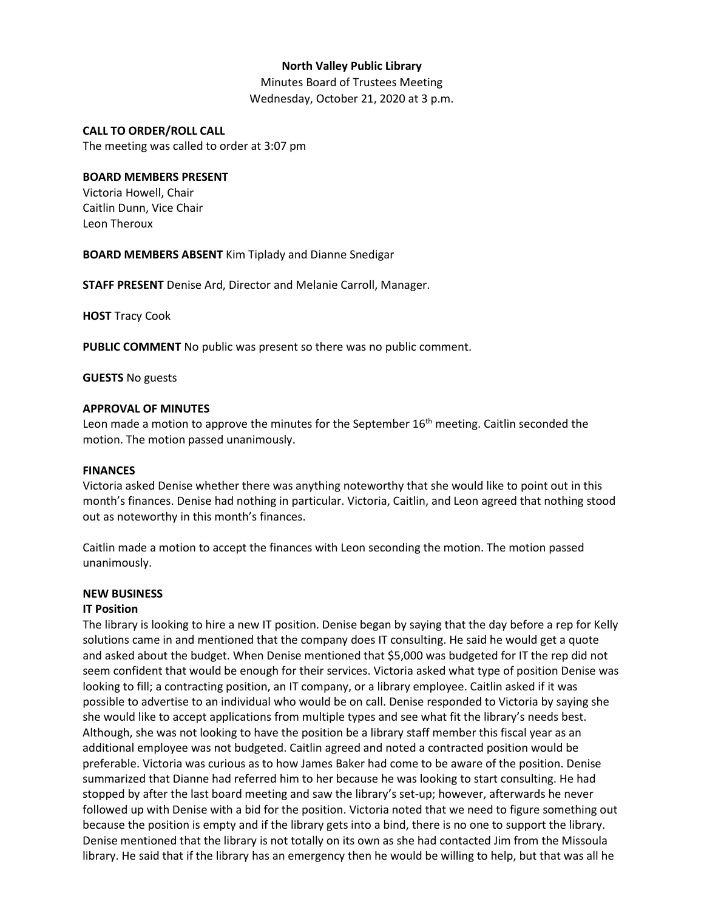## **North Valley Public Library**

Minutes Board of Trustees Meeting Wednesday, October 21, 2020 at 3 p.m.

## **CALL TO ORDER/ROLL CALL**

The meeting was called to order at 3:07 pm

## **BOARD MEMBERS PRESENT**

Victoria Howell, Chair Caitlin Dunn, Vice Chair Leon Theroux

**BOARD MEMBERS ABSENT** Kim Tiplady and Dianne Snedigar

**STAFF PRESENT** Denise Ard, Director and Melanie Carroll, Manager.

**HOST** Tracy Cook

**PUBLIC COMMENT** No public was present so there was no public comment.

**GUESTS** No guests

## **APPROVAL OF MINUTES**

Leon made a motion to approve the minutes for the September  $16<sup>th</sup>$  meeting. Caitlin seconded the motion. The motion passed unanimously.

## **FINANCES**

Victoria asked Denise whether there was anything noteworthy that she would like to point out in this month's finances. Denise had nothing in particular. Victoria, Caitlin, and Leon agreed that nothing stood out as noteworthy in this month's finances.

Caitlin made a motion to accept the finances with Leon seconding the motion. The motion passed unanimously.

## **NEW BUSINESS**

## **IT Position**

The library is looking to hire a new IT position. Denise began by saying that the day before a rep for Kelly solutions came in and mentioned that the company does IT consulting. He said he would get a quote and asked about the budget. When Denise mentioned that \$5,000 was budgeted for IT the rep did not seem confident that would be enough for their services. Victoria asked what type of position Denise was looking to fill; a contracting position, an IT company, or a library employee. Caitlin asked if it was possible to advertise to an individual who would be on call. Denise responded to Victoria by saying she she would like to accept applications from multiple types and see what fit the library's needs best. Although, she was not looking to have the position be a library staff member this fiscal year as an additional employee was not budgeted. Caitlin agreed and noted a contracted position would be preferable. Victoria was curious as to how James Baker had come to be aware of the position. Denise summarized that Dianne had referred him to her because he was looking to start consulting. He had stopped by after the last board meeting and saw the library's set-up; however, afterwards he never followed up with Denise with a bid for the position. Victoria noted that we need to figure something out because the position is empty and if the library gets into a bind, there is no one to support the library. Denise mentioned that the library is not totally on its own as she had contacted Jim from the Missoula library. He said that if the library has an emergency then he would be willing to help, but that was all he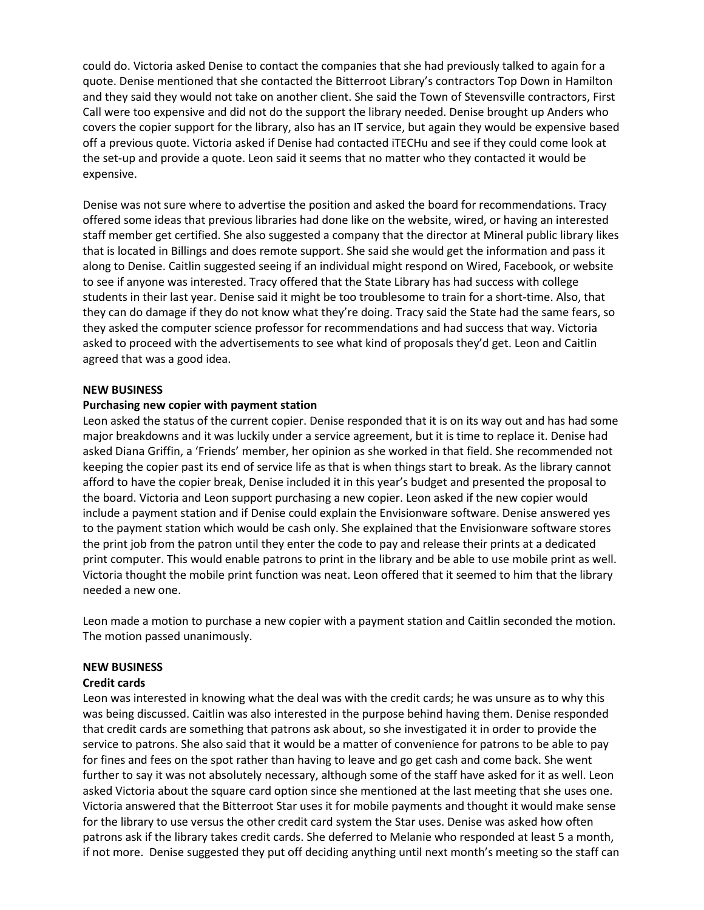could do. Victoria asked Denise to contact the companies that she had previously talked to again for a quote. Denise mentioned that she contacted the Bitterroot Library's contractors Top Down in Hamilton and they said they would not take on another client. She said the Town of Stevensville contractors, First Call were too expensive and did not do the support the library needed. Denise brought up Anders who covers the copier support for the library, also has an IT service, but again they would be expensive based off a previous quote. Victoria asked if Denise had contacted iTECHu and see if they could come look at the set-up and provide a quote. Leon said it seems that no matter who they contacted it would be expensive.

Denise was not sure where to advertise the position and asked the board for recommendations. Tracy offered some ideas that previous libraries had done like on the website, wired, or having an interested staff member get certified. She also suggested a company that the director at Mineral public library likes that is located in Billings and does remote support. She said she would get the information and pass it along to Denise. Caitlin suggested seeing if an individual might respond on Wired, Facebook, or website to see if anyone was interested. Tracy offered that the State Library has had success with college students in their last year. Denise said it might be too troublesome to train for a short-time. Also, that they can do damage if they do not know what they're doing. Tracy said the State had the same fears, so they asked the computer science professor for recommendations and had success that way. Victoria asked to proceed with the advertisements to see what kind of proposals they'd get. Leon and Caitlin agreed that was a good idea.

## **NEW BUSINESS**

#### **Purchasing new copier with payment station**

Leon asked the status of the current copier. Denise responded that it is on its way out and has had some major breakdowns and it was luckily under a service agreement, but it is time to replace it. Denise had asked Diana Griffin, a 'Friends' member, her opinion as she worked in that field. She recommended not keeping the copier past its end of service life as that is when things start to break. As the library cannot afford to have the copier break, Denise included it in this year's budget and presented the proposal to the board. Victoria and Leon support purchasing a new copier. Leon asked if the new copier would include a payment station and if Denise could explain the Envisionware software. Denise answered yes to the payment station which would be cash only. She explained that the Envisionware software stores the print job from the patron until they enter the code to pay and release their prints at a dedicated print computer. This would enable patrons to print in the library and be able to use mobile print as well. Victoria thought the mobile print function was neat. Leon offered that it seemed to him that the library needed a new one.

Leon made a motion to purchase a new copier with a payment station and Caitlin seconded the motion. The motion passed unanimously.

#### **NEW BUSINESS**

#### **Credit cards**

Leon was interested in knowing what the deal was with the credit cards; he was unsure as to why this was being discussed. Caitlin was also interested in the purpose behind having them. Denise responded that credit cards are something that patrons ask about, so she investigated it in order to provide the service to patrons. She also said that it would be a matter of convenience for patrons to be able to pay for fines and fees on the spot rather than having to leave and go get cash and come back. She went further to say it was not absolutely necessary, although some of the staff have asked for it as well. Leon asked Victoria about the square card option since she mentioned at the last meeting that she uses one. Victoria answered that the Bitterroot Star uses it for mobile payments and thought it would make sense for the library to use versus the other credit card system the Star uses. Denise was asked how often patrons ask if the library takes credit cards. She deferred to Melanie who responded at least 5 a month, if not more. Denise suggested they put off deciding anything until next month's meeting so the staff can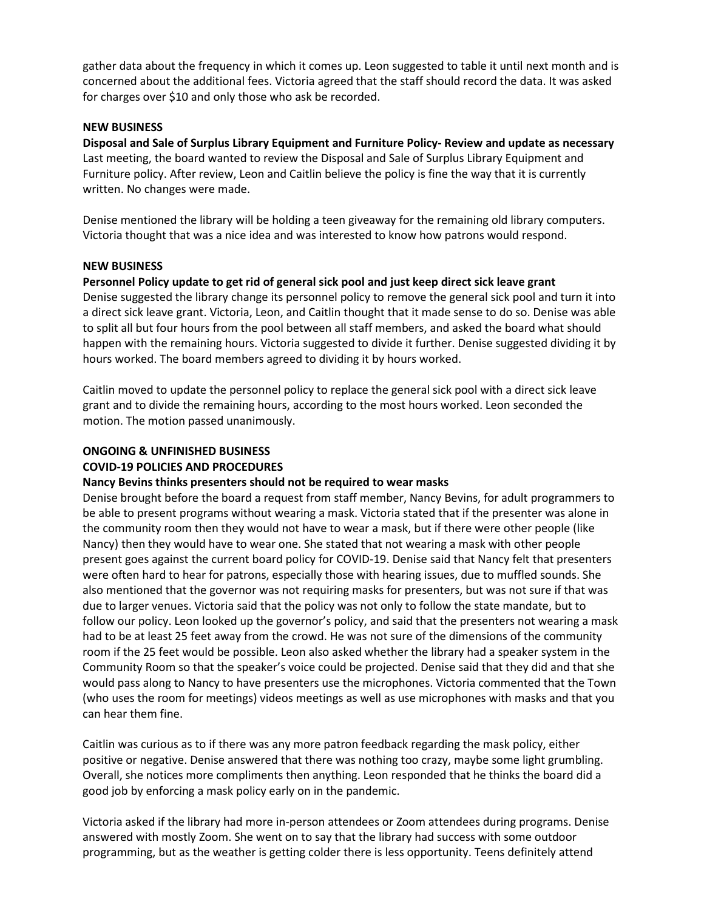gather data about the frequency in which it comes up. Leon suggested to table it until next month and is concerned about the additional fees. Victoria agreed that the staff should record the data. It was asked for charges over \$10 and only those who ask be recorded.

## **NEW BUSINESS**

**Disposal and Sale of Surplus Library Equipment and Furniture Policy- Review and update as necessary** Last meeting, the board wanted to review the Disposal and Sale of Surplus Library Equipment and Furniture policy. After review, Leon and Caitlin believe the policy is fine the way that it is currently written. No changes were made.

Denise mentioned the library will be holding a teen giveaway for the remaining old library computers. Victoria thought that was a nice idea and was interested to know how patrons would respond.

## **NEW BUSINESS**

## **Personnel Policy update to get rid of general sick pool and just keep direct sick leave grant**

Denise suggested the library change its personnel policy to remove the general sick pool and turn it into a direct sick leave grant. Victoria, Leon, and Caitlin thought that it made sense to do so. Denise was able to split all but four hours from the pool between all staff members, and asked the board what should happen with the remaining hours. Victoria suggested to divide it further. Denise suggested dividing it by hours worked. The board members agreed to dividing it by hours worked.

Caitlin moved to update the personnel policy to replace the general sick pool with a direct sick leave grant and to divide the remaining hours, according to the most hours worked. Leon seconded the motion. The motion passed unanimously.

#### **ONGOING & UNFINISHED BUSINESS COVID-19 POLICIES AND PROCEDURES**

## **Nancy Bevins thinks presenters should not be required to wear masks**

Denise brought before the board a request from staff member, Nancy Bevins, for adult programmers to be able to present programs without wearing a mask. Victoria stated that if the presenter was alone in the community room then they would not have to wear a mask, but if there were other people (like Nancy) then they would have to wear one. She stated that not wearing a mask with other people present goes against the current board policy for COVID-19. Denise said that Nancy felt that presenters were often hard to hear for patrons, especially those with hearing issues, due to muffled sounds. She also mentioned that the governor was not requiring masks for presenters, but was not sure if that was due to larger venues. Victoria said that the policy was not only to follow the state mandate, but to follow our policy. Leon looked up the governor's policy, and said that the presenters not wearing a mask had to be at least 25 feet away from the crowd. He was not sure of the dimensions of the community room if the 25 feet would be possible. Leon also asked whether the library had a speaker system in the Community Room so that the speaker's voice could be projected. Denise said that they did and that she would pass along to Nancy to have presenters use the microphones. Victoria commented that the Town (who uses the room for meetings) videos meetings as well as use microphones with masks and that you can hear them fine.

Caitlin was curious as to if there was any more patron feedback regarding the mask policy, either positive or negative. Denise answered that there was nothing too crazy, maybe some light grumbling. Overall, she notices more compliments then anything. Leon responded that he thinks the board did a good job by enforcing a mask policy early on in the pandemic.

Victoria asked if the library had more in-person attendees or Zoom attendees during programs. Denise answered with mostly Zoom. She went on to say that the library had success with some outdoor programming, but as the weather is getting colder there is less opportunity. Teens definitely attend